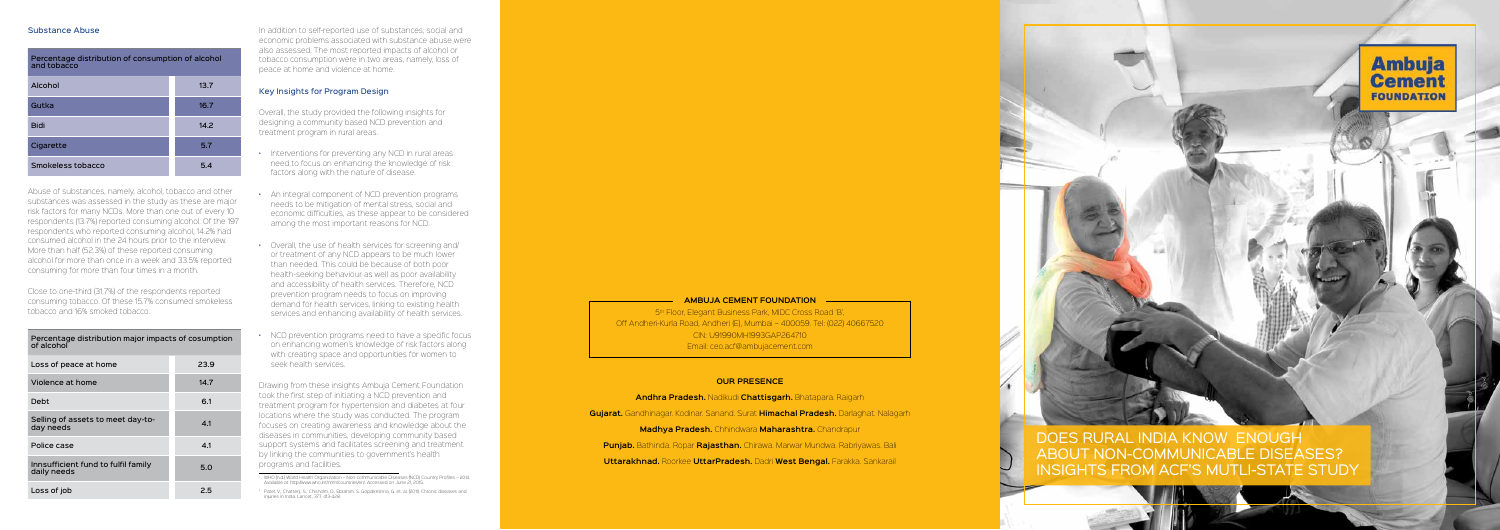## Substance Abuse

Percentage distribution of consumption of alcohol and tobacco

| Alcohol           | 13.7 |
|-------------------|------|
| Gutka             | 16.7 |
| <b>Bidi</b>       | 14.2 |
| Cigarette         | 5.7  |
| Smokeless tobacco | 5.4  |

Abuse of substances, namely, alcohol, tobacco and other substances was assessed in the study as these are major risk factors for many NCDs. More than one out of every 10 respondents (13.7%) reported consuming alcohol. Of the 197 respondents who reported consuming alcohol, 14.2% had consumed alcohol in the 24 hours prior to the interview. More than half (52.3%) of these reported consuming alcohol for more than once in a week and 33.5% reported consuming for more than four times in a month.

Close to one-third (31.7%) of the respondents reported consuming tobacco. Of these 15.7% consumed smokeless tobacco and 16% smoked tobacco.

Percentage distribution major impacts of cosumption

| Percentage distribution major impacts or cosumption<br>of alcohol |      |  |
|-------------------------------------------------------------------|------|--|
| Loss of peace at home                                             | 23.9 |  |
| Violence at home                                                  | 14.7 |  |
| Debt                                                              | 6.1  |  |
| Selling of assets to meet day-to-<br>day needs                    | 4.1  |  |
| Police case                                                       | 4.1  |  |
| Innsufficient fund to fulfil family<br>daily needs                | 5.0  |  |
| Loss of job                                                       | 2.5  |  |

In addition to self-reported use of substances, social and economic problems associated with substance abuse were also assessed. The most reported impacts of alcohol or tobacco consumption were in two areas, namely, loss of peace at home and violence at home.

## Key Insights for Program Design

Overall, the study provided the following insights for designing a community based NCD prevention and treatment program in rural areas.

> 5<sup>th</sup> Floor, Elegant Business Park, MIDC Cross Road 'B', Off Andheri-Kurla Road, Andheri (E), Mumbai – 400059. Tel: (022) 40667520 CIN: U91990MH1993GAP264710 Email: ceo.acf@ambujacement.com

- Interventions for preventing any NCD in rural areas need to focus on enhancing the knowledge of risk factors along with the nature of disease.
- An integral component of NCD prevention programs needs to be mitigation of mental stress, social and economic difficulties, as these appear to be considered among the most important reasons for NCD.
- Overall, the use of health services for screening and/ or treatment of any NCD appears to be much lower than needed. This could be because of both poor health-seeking behaviour as well as poor availability and accessibility of health services. Therefore, NCD prevention program needs to focus on improving demand for health services, linking to existing health services and enhancing availability of health services.
- NCD prevention programs need to have a specific focus on enhancing women's knowledge of risk factors along with creating space and opportunities for women to seek health services.

Drawing from these insights Ambuja Cement Foundation took the first step of initiating a NCD prevention and treatment program for hypertension and diabetes at four locations where the study was conducted. The program focuses on creating awareness and knowledge about the diseases in communities, developing community based support systems and facilitates screening and treatment by linking the communities to government's health programs and facilities.

#### **Ambuja Cement Foundation**

# **Our Presence**



**Andhra Pradesh.** Nadikudi **Chattisgarh.** Bhatapara. Raigarh

**Gujarat.** Gandhinagar. Kodinar. Sanand. Surat **Himachal Pradesh.** Darlaghat. Nalagarh

**Madhya Pradesh.** Chhindwara **Maharashtra.** Chandrapur

**Punjab.** Bathinda. Ropar **Rajasthan.** Chirawa. Marwar Mundwa. Rabriyawas. Bali

**Uttarakhnad.** Roorkee **UttarPradesh.** Dadri **West Bengal.** Farakka. Sankarail

DOES RURAL INDIA KNOW ENOUGH ABOUT NON-COMMUNICABLE DISEASES? INSIGHTS FROM ACF'S MUTLI-STATE STUDY



<sup>i</sup> WHO (n.d.) World Health Organization – Non-communicable Diseases (NCD) Country Profiles – 2014. Available at http://www.who.int/nmh/countries/en/. Accessed on June 21, 2015.

ii Patel, V., Chatterji, S., Chisholm, D., Ebrahim, S. Gopalkrishna, G. et. al. (2011). Chronic diseases and injuries in India. Lancet, 377, 413-428.